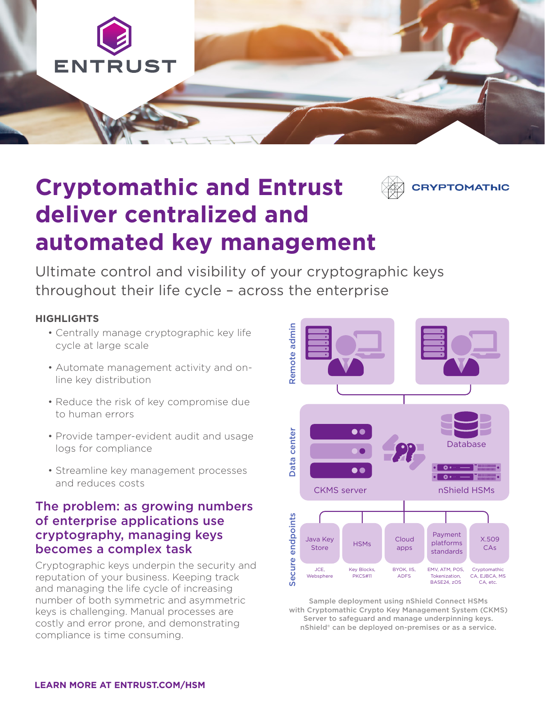

# **Cryptomathic and Entrust deliver centralized and automated key management**

Ultimate control and visibility of your cryptographic keys throughout their life cycle – across the enterprise

#### **HIGHLIGHTS**

- Centrally manage cryptographic key life cycle at large scale
- Automate management activity and online key distribution
- Reduce the risk of key compromise due to human errors
- Provide tamper-evident audit and usage logs for compliance
- Streamline key management processes and reduces costs

#### The problem: as growing numbers of enterprise applications use cryptography, managing keys becomes a complex task

Cryptographic keys underpin the security and reputation of your business. Keeping track and managing the life cycle of increasing number of both symmetric and asymmetric keys is challenging. Manual processes are costly and error prone, and demonstrating compliance is time consuming.



**YPTOMATHIC** 

Sample deployment using nShield Connect HSMs with Cryptomathic Crypto Key Management System (CKMS) Server to safeguard and manage underpinning keys. nShield® can be deployed on-premises or as a service.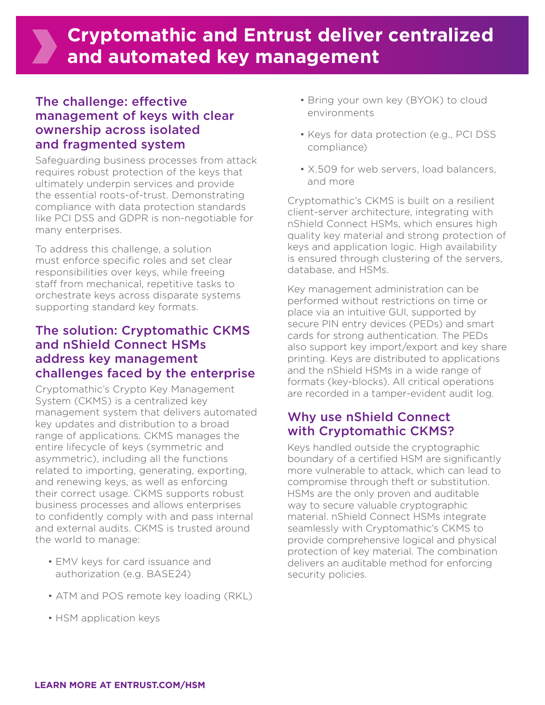# **Cryptomathic and Entrust deliver centralized and automated key management**

#### The challenge: effective management of keys with clear ownership across isolated and fragmented system

Safeguarding business processes from attack requires robust protection of the keys that ultimately underpin services and provide the essential roots-of-trust. Demonstrating compliance with data protection standards like PCI DSS and GDPR is non-negotiable for many enterprises.

To address this challenge, a solution must enforce specific roles and set clear responsibilities over keys, while freeing staff from mechanical, repetitive tasks to orchestrate keys across disparate systems supporting standard key formats.

### The solution: Cryptomathic CKMS and nShield Connect HSMs address key management challenges faced by the enterprise

Cryptomathic's Crypto Key Management System (CKMS) is a centralized key management system that delivers automated key updates and distribution to a broad range of applications. CKMS manages the entire lifecycle of keys (symmetric and asymmetric), including all the functions related to importing, generating, exporting, and renewing keys, as well as enforcing their correct usage. CKMS supports robust business processes and allows enterprises to confidently comply with and pass internal and external audits. CKMS is trusted around the world to manage:

- EMV keys for card issuance and authorization (e.g. BASE24)
- ATM and POS remote key loading (RKL)
- HSM application keys
- Bring your own key (BYOK) to cloud environments
- Keys for data protection (e.g., PCI DSS compliance)
- X.509 for web servers, load balancers, and more

Cryptomathic's CKMS is built on a resilient client-server architecture, integrating with nShield Connect HSMs, which ensures high quality key material and strong protection of keys and application logic. High availability is ensured through clustering of the servers, database, and HSMs.

Key management administration can be performed without restrictions on time or place via an intuitive GUI, supported by secure PIN entry devices (PEDs) and smart cards for strong authentication. The PEDs also support key import/export and key share printing. Keys are distributed to applications and the nShield HSMs in a wide range of formats (key-blocks). All critical operations are recorded in a tamper-evident audit log.

#### Why use nShield Connect with Cryptomathic CKMS?

Keys handled outside the cryptographic boundary of a certified HSM are significantly more vulnerable to attack, which can lead to compromise through theft or substitution. HSMs are the only proven and auditable way to secure valuable cryptographic material. nShield Connect HSMs integrate seamlessly with Cryptomathic's CKMS to provide comprehensive logical and physical protection of key material. The combination delivers an auditable method for enforcing security policies.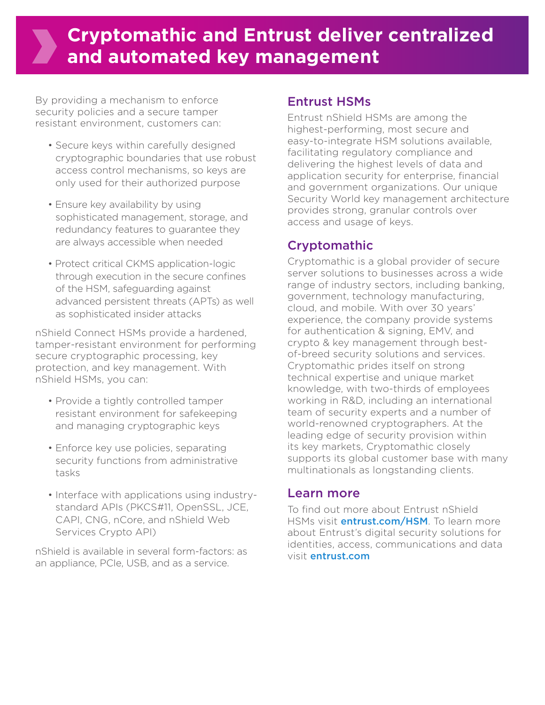# **Cryptomathic and Entrust deliver centralized and automated key management**

By providing a mechanism to enforce security policies and a secure tamper resistant environment, customers can:

- Secure keys within carefully designed cryptographic boundaries that use robust access control mechanisms, so keys are only used for their authorized purpose
- Ensure key availability by using sophisticated management, storage, and redundancy features to guarantee they are always accessible when needed
- Protect critical CKMS application-logic through execution in the secure confines of the HSM, safeguarding against advanced persistent threats (APTs) as well as sophisticated insider attacks

nShield Connect HSMs provide a hardened, tamper-resistant environment for performing secure cryptographic processing, key protection, and key management. With nShield HSMs, you can:

- Provide a tightly controlled tamper resistant environment for safekeeping and managing cryptographic keys
- Enforce key use policies, separating security functions from administrative tasks
- Interface with applications using industrystandard APIs (PKCS#11, OpenSSL, JCE, CAPI, CNG, nCore, and nShield Web Services Crypto API)

nShield is available in several form-factors: as an appliance, PCIe, USB, and as a service.

#### Entrust HSMs

Entrust nShield HSMs are among the highest-performing, most secure and easy-to-integrate HSM solutions available, facilitating regulatory compliance and delivering the highest levels of data and application security for enterprise, financial and government organizations. Our unique Security World key management architecture provides strong, granular controls over access and usage of keys.

### Cryptomathic

Cryptomathic is a global provider of secure server solutions to businesses across a wide range of industry sectors, including banking, government, technology manufacturing, cloud, and mobile. With over 30 years' experience, the company provide systems for authentication & signing, EMV, and crypto & key management through bestof-breed security solutions and services. Cryptomathic prides itself on strong technical expertise and unique market knowledge, with two-thirds of employees working in R&D, including an international team of security experts and a number of world-renowned cryptographers. At the leading edge of security provision within its key markets, Cryptomathic closely supports its global customer base with many multinationals as longstanding clients.

#### Learn more

To find out more about Entrust nShield HSMs visit **entrust.com/HSM**. To learn more about Entrust's digital security solutions for identities, access, communications and data visit entrust.com